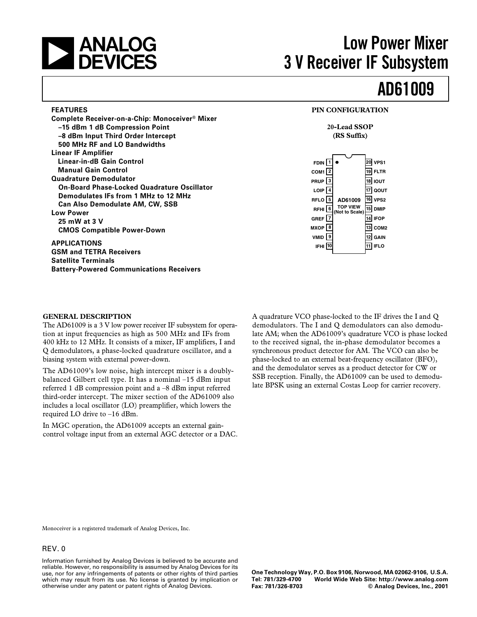

**FEATURES**

# **ANALOG** Low Power Mixer<br> **Low Power Mixer**<br> **ADEVICES** 3 V Receiver IF Subsystem **3 V Receiver IF Subsystem**

# **AD61009**

### **PIN CONFIGURATION**

### **20-Lead SSOP (RS Suffix)**

| $F$ DIN 1<br>$COM1$ $2$<br>PRUP $3$<br>LOIP $\boxed{4}$<br>RFLO <sup>5</sup><br>$RFHI$ 6<br>GREF $\sqrt{7}$<br>MXOP <sup>6</sup><br>VMID <sup>[9</sup><br>IFHI 10 | AD61009<br><b>TOP VIEW</b><br>(Not to Scale) | 20<br>19<br>15 I<br>14 | VPS1<br><b>FLTR</b><br>18 IOUT<br>17 QOUT<br>$\overline{16}$ VPS2<br><b>DMIP</b><br><b>IFOP</b><br>$13$ COM <sub>2</sub><br>GAIN<br><b>FLO</b> |
|-------------------------------------------------------------------------------------------------------------------------------------------------------------------|----------------------------------------------|------------------------|------------------------------------------------------------------------------------------------------------------------------------------------|
|                                                                                                                                                                   |                                              |                        |                                                                                                                                                |

**–8 dBm Input Third Order Intercept 500 MHz RF and LO Bandwidths Linear IF Amplifier Linear-in-dB Gain Control Manual Gain Control Quadrature Demodulator On-Board Phase-Locked Quadrature Oscillator Demodulates IFs from 1 MHz to 12 MHz Can Also Demodulate AM, CW, SSB Low Power 25 mW at 3 V CMOS Compatible Power-Down**

**Complete Receiver-on-a-Chip: Monoceiver® Mixer**

**–15 dBm 1 dB Compression Point**

**APPLICATIONS GSM and TETRA Receivers Satellite Terminals Battery-Powered Communications Receivers**

### **GENERAL DESCRIPTION**

The AD61009 is a 3 V low power receiver IF subsystem for operation at input frequencies as high as 500 MHz and IFs from 400 kHz to 12 MHz. It consists of a mixer, IF amplifiers, I and Q demodulators, a phase-locked quadrature oscillator, and a biasing system with external power-down.

The AD61009's low noise, high intercept mixer is a doublybalanced Gilbert cell type. It has a nominal –15 dBm input referred 1 dB compression point and a –8 dBm input referred third-order intercept. The mixer section of the AD61009 also includes a local oscillator (LO) preamplifier, which lowers the required LO drive to –16 dBm.

In MGC operation, the AD61009 accepts an external gaincontrol voltage input from an external AGC detector or a DAC.

A quadrature VCO phase-locked to the IF drives the I and Q demodulators. The I and Q demodulators can also demodulate AM; when the AD61009's quadrature VCO is phase locked to the received signal, the in-phase demodulator becomes a synchronous product detector for AM. The VCO can also be phase-locked to an external beat-frequency oscillator (BFO), and the demodulator serves as a product detector for CW or SSB reception. Finally, the AD61009 can be used to demodulate BPSK using an external Costas Loop for carrier recovery.

Monoceiver is a registered trademark of Analog Devices, Inc.

### REV. 0

Information furnished by Analog Devices is believed to be accurate and reliable. However, no responsibility is assumed by Analog Devices for its use, nor for any infringements of patents or other rights of third parties which may result from its use. No license is granted by implication or otherwise under any patent or patent rights of Analog Devices.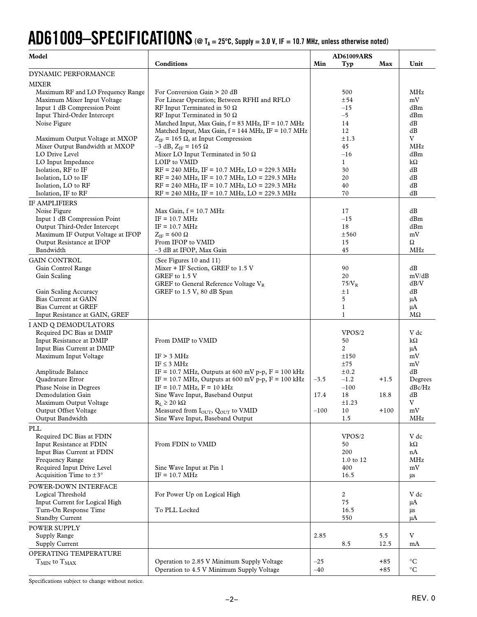# **AD61009–SPECIFICATIONS (@ TA = 25C, Supply = 3.0 V, IF = 10.7 MHz, unless otherwise noted)**

| Model                                                       |                                                                                                                        | <b>AD61009ARS</b>   |        |                      |
|-------------------------------------------------------------|------------------------------------------------------------------------------------------------------------------------|---------------------|--------|----------------------|
|                                                             | Conditions                                                                                                             | Min<br>Typ          | Max    | Unit                 |
| DYNAMIC PERFORMANCE                                         |                                                                                                                        |                     |        |                      |
| MIXER                                                       |                                                                                                                        |                     |        |                      |
| Maximum RF and LO Frequency Range                           | For Conversion Gain > 20 dB                                                                                            | 500                 |        | MHz<br>mV            |
| Maximum Mixer Input Voltage<br>Input 1 dB Compression Point | For Linear Operation; Between RFHI and RFLO<br>RF Input Terminated in 50 $\Omega$                                      | ±54<br>$-15$        |        | dBm                  |
| Input Third-Order Intercept                                 | RF Input Terminated in 50 $\Omega$                                                                                     | $-5$                |        | dBm                  |
| Noise Figure                                                | Matched Input, Max Gain, f = 83 MHz, IF = 10.7 MHz                                                                     | 14                  |        | dB                   |
|                                                             | Matched Input, Max Gain, $f = 144$ MHz, IF = 10.7 MHz                                                                  | 12                  |        | dB                   |
| Maximum Output Voltage at MXOP                              | $Z_{IF}$ = 165 $\Omega$ , at Input Compression                                                                         | ±1.3                |        | V                    |
| Mixer Output Bandwidth at MXOP                              | $-3$ dB, $Z_{IF}$ = 165 $\Omega$                                                                                       | 45                  |        | <b>MHz</b>           |
| LO Drive Level                                              | Mixer LO Input Terminated in 50 $\Omega$                                                                               | $-16$               |        | dBm                  |
| LO Input Impedance                                          | LOIP to VMID                                                                                                           | $\mathbf{1}$        |        | $k\Omega$            |
| Isolation, RF to IF                                         | $RF = 240$ MHz, IF = 10.7 MHz, LO = 229.3 MHz                                                                          | 30                  |        | dB                   |
| Isolation, LO to IF                                         | $RF = 240 \text{ MHz}, IF = 10.7 \text{ MHz}, LO = 229.3 \text{ MHz}$                                                  | 20                  |        | dB                   |
| Isolation, LO to RF<br>Isolation, IF to RF                  | $RF = 240 \text{ MHz}, IF = 10.7 \text{ MHz}, LO = 229.3 \text{ MHz}$<br>$RF = 240$ MHz, IF = 10.7 MHz, LO = 229.3 MHz | 40<br>70            |        | dB<br>dB             |
|                                                             |                                                                                                                        |                     |        |                      |
| IF AMPLIFIERS<br>Noise Figure                               | Max Gain, $f = 10.7$ MHz                                                                                               | 17                  |        | dB                   |
| Input 1 dB Compression Point                                | $IF = 10.7 MHz$                                                                                                        | $-15$               |        | dBm                  |
| Output Third-Order Intercept                                | $IF = 10.7 MHz$                                                                                                        | 18                  |        | dBm                  |
| Maximum IF Output Voltage at IFOP                           | $Z_{IF}$ = 600 $\Omega$                                                                                                | ±560                |        | mV                   |
| Output Resistance at IFOP                                   | From IFOP to VMID                                                                                                      | 15                  |        | Ω                    |
| Bandwidth                                                   | -3 dB at IFOP, Max Gain                                                                                                | 45                  |        | <b>MHz</b>           |
| <b>GAIN CONTROL</b>                                         | (See Figures 10 and 11)                                                                                                |                     |        |                      |
| Gain Control Range                                          | Mixer + IF Section, GREF to 1.5 V                                                                                      | 90                  |        | dB                   |
| Gain Scaling                                                | GREF to 1.5 V                                                                                                          | 20                  |        | mV/dB                |
|                                                             | GREF to General Reference Voltage VR                                                                                   | $75/\mathrm{V_R}$   |        | dB/V                 |
| Gain Scaling Accuracy                                       | GREF to 1.5 V, 80 dB Span                                                                                              | ±1                  |        | dB                   |
| <b>Bias Current at GAIN</b>                                 |                                                                                                                        | 5                   |        | μA                   |
| <b>Bias Current at GREF</b>                                 |                                                                                                                        | $\mathbf{1}$        |        | $\mu A$<br>$M\Omega$ |
| Input Resistance at GAIN, GREF                              |                                                                                                                        | $\mathbf{1}$        |        |                      |
| I AND Q DEMODULATORS                                        |                                                                                                                        |                     |        | V dc                 |
| Required DC Bias at DMIP<br>Input Resistance at DMIP        | From DMIP to VMID                                                                                                      | VPOS/2<br>50        |        | $k\Omega$            |
| Input Bias Current at DMIP                                  |                                                                                                                        | 2                   |        | μA                   |
| Maximum Input Voltage                                       | IF > 3 MHz                                                                                                             | ±150                |        | mV                   |
|                                                             | IF $\leq$ 3 MHz                                                                                                        | ±75                 |        | mV                   |
| Amplitude Balance                                           | IF = 10.7 MHz, Outputs at 600 mV p-p, $F = 100$ kHz                                                                    | $\pm 0.2$           |        | dB                   |
| Quadrature Error                                            | IF = 10.7 MHz, Outputs at 600 mV p-p, $F = 100$ kHz                                                                    | $-3.5$<br>$-1.2$    | $+1.5$ | Degrees              |
| Phase Noise in Degrees                                      | $IF = 10.7 MHz, F = 10 kHz$                                                                                            | $-100$              |        | $dBc/Hz$             |
| Demodulation Gain                                           | Sine Wave Input, Baseband Output                                                                                       | 17.4<br>18          | 18.8   | dB                   |
| Maximum Output Voltage                                      | $R_L \geq 20 k\Omega$                                                                                                  | $\pm 1.23$          |        | $\rm{V}$             |
| Output Offset Voltage<br>Output Bandwidth                   | Measured from I <sub>OUT</sub> , Q <sub>OUT</sub> to VMID<br>Sine Wave Input, Baseband Output                          | $-100$<br>10<br>1.5 | $+100$ | mV<br>MHz            |
|                                                             |                                                                                                                        |                     |        |                      |
| PLL                                                         |                                                                                                                        | VPOS/2              |        |                      |
| Required DC Bias at FDIN<br>Input Resistance at FDIN        | From FDIN to VMID                                                                                                      | 50                  |        | V dc<br>$k\Omega$    |
| Input Bias Current at FDIN                                  |                                                                                                                        | 200                 |        | nA                   |
| Frequency Range                                             |                                                                                                                        | 1.0 to 12           |        | MHz                  |
| Required Input Drive Level                                  | Sine Wave Input at Pin 1                                                                                               | 400                 |        | mV                   |
| Acquisition Time to $\pm 3^{\circ}$                         | $IF = 10.7 MHz$                                                                                                        | 16.5                |        | μs                   |
| POWER-DOWN INTERFACE                                        |                                                                                                                        |                     |        |                      |
| Logical Threshold                                           | For Power Up on Logical High                                                                                           | $\overline{2}$      |        | V dc                 |
| Input Current for Logical High                              |                                                                                                                        | 75                  |        | μA                   |
| Turn-On Response Time                                       | To PLL Locked                                                                                                          | 16.5                |        | μs                   |
| <b>Standby Current</b>                                      |                                                                                                                        | 550                 |        | μA                   |
| POWER SUPPLY                                                |                                                                                                                        |                     |        |                      |
| Supply Range                                                |                                                                                                                        | 2.85                | 5.5    | V                    |
| Supply Current                                              |                                                                                                                        | 8.5                 | 12.5   | mA                   |
| OPERATING TEMPERATURE                                       |                                                                                                                        |                     |        |                      |
| $T_{MIN}$ to $T_{MAX}$                                      | Operation to 2.85 V Minimum Supply Voltage                                                                             | $-25$               | $+85$  | $\rm ^{\circ}C$      |
|                                                             | Operation to 4.5 V Minimum Supply Voltage                                                                              | $-40$               | $+85$  | $^{\circ}C$          |

Specifications subject to change without notice.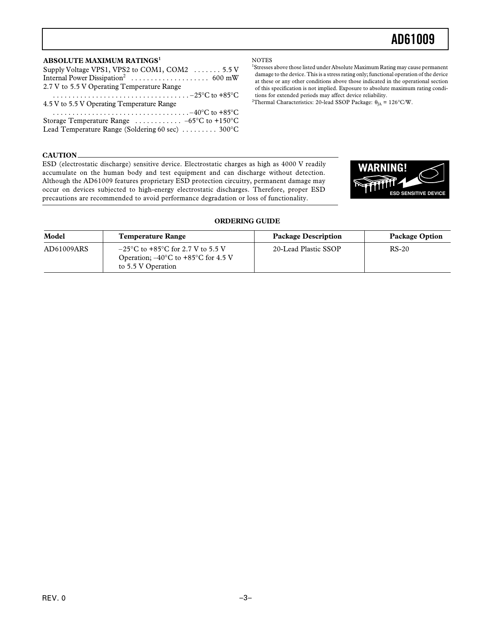### **ABSOLUTE MAXIMUM RATINGS<sup>1</sup>**

| Supply Voltage VPS1, VPS2 to COM1, COM2  5.5 V                                                                        |
|-----------------------------------------------------------------------------------------------------------------------|
|                                                                                                                       |
| 2.7 V to 5.5 V Operating Temperature Range                                                                            |
| $\cdots \cdots \cdots \cdots \cdots \cdots \cdots \cdots \cdots \cdots \cdots \cdots -25^{\circ}C$ to +85 $^{\circ}C$ |
| 4.5 V to 5.5 V Operating Temperature Range                                                                            |
|                                                                                                                       |
| Storage Temperature Range $\ldots \ldots \ldots -65$ °C to +150°C                                                     |
| Lead Temperature Range (Soldering 60 sec)  300°C                                                                      |
|                                                                                                                       |

#### **NOTES**

<sup>1</sup>Stresses above those listed under Absolute Maximum Rating may cause permanent damage to the device. This is a stress rating only; functional operation of the device at these or any other conditions above those indicated in the operational section of this specification is not implied. Exposure to absolute maximum rating conditions for extended periods may affect device reliability.

<sup>2</sup>Thermal Characteristics: 20-lead SSOP Package:  $\theta_{JA}$  = 126°C/W.

### **CAUTION**

ESD (electrostatic discharge) sensitive device. Electrostatic charges as high as 4000 V readily accumulate on the human body and test equipment and can discharge without detection. Although the AD61009 features proprietary ESD protection circuitry, permanent damage may occur on devices subjected to high-energy electrostatic discharges. Therefore, proper ESD precautions are recommended to avoid performance degradation or loss of functionality.



### Model **Temperature Range Package Description** Package Option AD61009ARS  $\vert$  -25°C to +85°C for 2.7 V to 5.5 V 20-Lead Plastic SSOP RS-20 Operation; –40°C to +85°C for 4.5 V to 5.5 V Operation

#### **ORDERING GUIDE**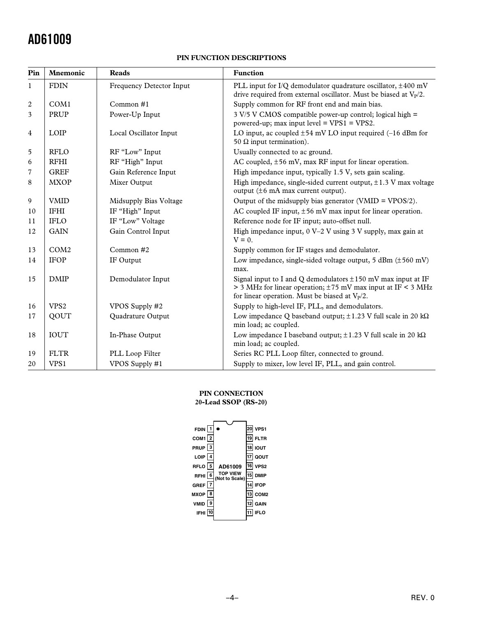### **PIN FUNCTION DESCRIPTIONS**

| Pin            | <b>Mnemonic</b>  | <b>Reads</b>             | <b>Function</b>                                                                                                                                                                               |
|----------------|------------------|--------------------------|-----------------------------------------------------------------------------------------------------------------------------------------------------------------------------------------------|
| $\mathbf{1}$   | <b>FDIN</b>      | Frequency Detector Input | PLL input for I/Q demodulator quadrature oscillator, ±400 mV<br>drive required from external oscillator. Must be biased at $V_P/2$ .                                                          |
| $\overline{2}$ | COM1             | Common #1                | Supply common for RF front end and main bias.                                                                                                                                                 |
| 3              | PRUP             | Power-Up Input           | 3 V/5 V CMOS compatible power-up control; logical high =<br>powered-up; max input level = $VPS1 = VPS2$ .                                                                                     |
| $\overline{4}$ | LOIP             | Local Oscillator Input   | LO input, ac coupled $\pm 54$ mV LO input required (-16 dBm for<br>50 Ω input termination).                                                                                                   |
| 5              | <b>RFLO</b>      | RF "Low" Input           | Usually connected to ac ground.                                                                                                                                                               |
| 6              | <b>RFHI</b>      | RF "High" Input          | AC coupled, ±56 mV, max RF input for linear operation.                                                                                                                                        |
| $\overline{7}$ | <b>GREF</b>      | Gain Reference Input     | High impedance input, typically 1.5 V, sets gain scaling.                                                                                                                                     |
| 8              | <b>MXOP</b>      | Mixer Output             | High impedance, single-sided current output, $\pm 1.3$ V max voltage<br>output $(\pm 6 \text{ mA max current output}).$                                                                       |
| 9              | <b>VMID</b>      | Midsupply Bias Voltage   | Output of the midsupply bias generator (VMID = $VPOS/2$ ).                                                                                                                                    |
| 10             | <b>IFHI</b>      | IF "High" Input          | AC coupled IF input, $\pm 56$ mV max input for linear operation.                                                                                                                              |
| 11             | <b>IFLO</b>      | IF "Low" Voltage         | Reference node for IF input; auto-offset null.                                                                                                                                                |
| 12             | <b>GAIN</b>      | Gain Control Input       | High impedance input, $0 V-2 V$ using 3 V supply, max gain at<br>$V = 0$ .                                                                                                                    |
| 13             | COM <sub>2</sub> | Common #2                | Supply common for IF stages and demodulator.                                                                                                                                                  |
| 14             | <b>IFOP</b>      | IF Output                | Low impedance, single-sided voltage output, $5$ dBm ( $\pm 560$ mV)<br>max.                                                                                                                   |
| 15             | <b>DMIP</b>      | Demodulator Input        | Signal input to I and Q demodulators $\pm 150$ mV max input at IF<br>$>$ 3 MHz for linear operation; $\pm$ 75 mV max input at IF < 3 MHz<br>for linear operation. Must be biased at $V_P/2$ . |
| 16             | VPS <sub>2</sub> | VPOS Supply #2           | Supply to high-level IF, PLL, and demodulators.                                                                                                                                               |
| 17             | QOUT             | Quadrature Output        | Low impedance Q baseband output; $\pm 1.23$ V full scale in 20 kQ<br>min load; ac coupled.                                                                                                    |
| 18             | <b>IOUT</b>      | In-Phase Output          | Low impedance I baseband output; $\pm 1.23$ V full scale in 20 k $\Omega$<br>min load; ac coupled.                                                                                            |
| 19             | <b>FLTR</b>      | PLL Loop Filter          | Series RC PLL Loop filter, connected to ground.                                                                                                                                               |
| 20             | VPS1             | VPOS Supply #1           | Supply to mixer, low level IF, PLL, and gain control.                                                                                                                                         |

### **PIN CONNECTION**

### **20-Lead SSOP (RS-20)**

| FDIN $\boxed{1}$<br>COM <sub>1</sub> $\sqrt{2}$<br>PRUP <sup>3</sup><br>LOIP $\boxed{4}$<br>RFLO <sup>5</sup><br>RFHI 6<br>GREF $\sqrt{7}$<br>мхор  <br>8<br>VMID<br>9<br>IFHI | AD61009<br><b>TOP VIEW</b><br>(Not to Scale) | 19<br>18 l<br>16 I<br>15 l<br>13 I | VPS1<br><b>FLTR</b><br><b>IOUT</b><br>QOUT<br>VPS <sub>2</sub><br><b>DMIP</b><br><b>IFOP</b><br>COM <sub>2</sub><br><b>GAIN</b><br>FL O |
|--------------------------------------------------------------------------------------------------------------------------------------------------------------------------------|----------------------------------------------|------------------------------------|-----------------------------------------------------------------------------------------------------------------------------------------|
|                                                                                                                                                                                |                                              |                                    |                                                                                                                                         |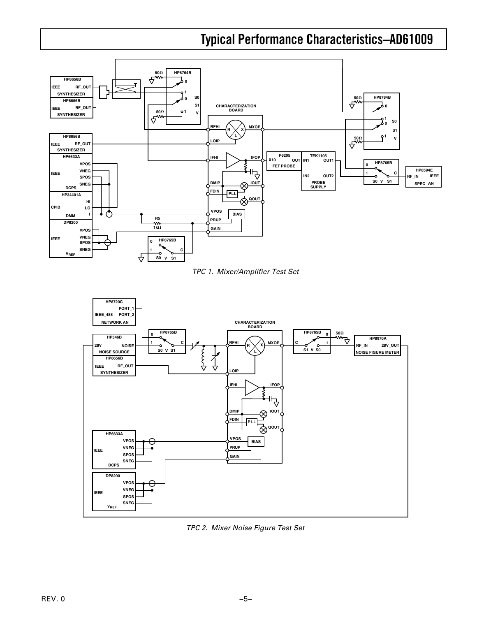# **Typical Performance Characteristics–AD61009**



TPC 1. Mixer/Amplifier Test Set



TPC 2. Mixer Noise Figure Test Set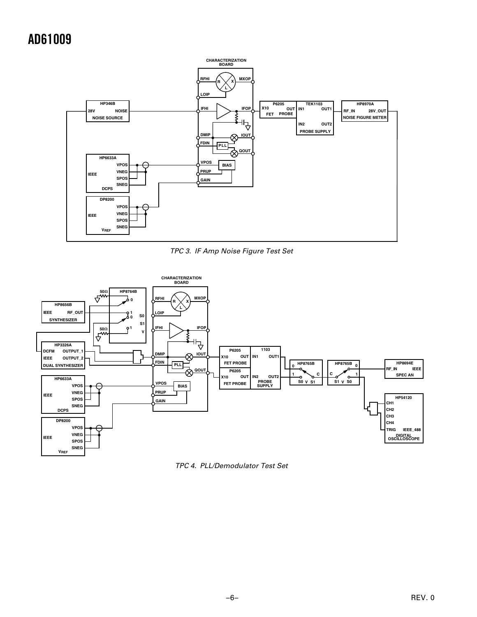

TPC 3. IF Amp Noise Figure Test Set



TPC 4. PLL/Demodulator Test Set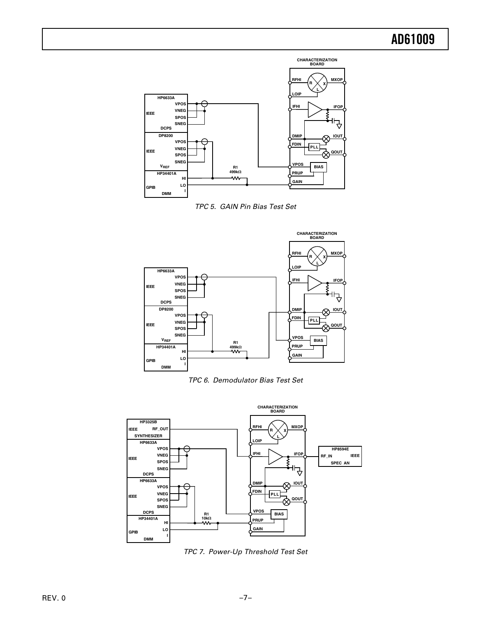

TPC 5. GAIN Pin Bias Test Set







TPC 7. Power-Up Threshold Test Set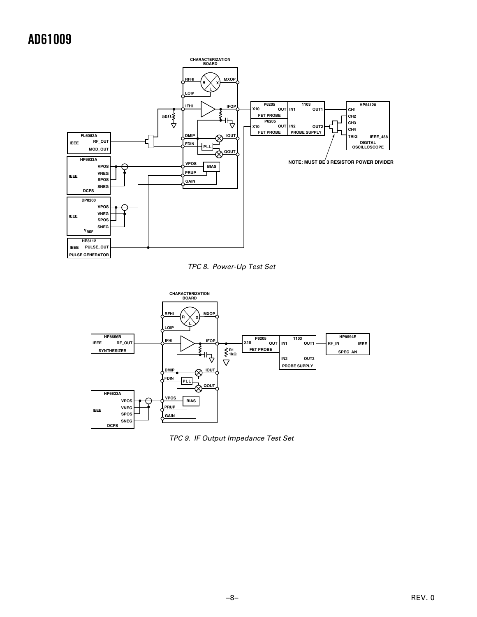

TPC 8. Power-Up Test Set



TPC 9. IF Output Impedance Test Set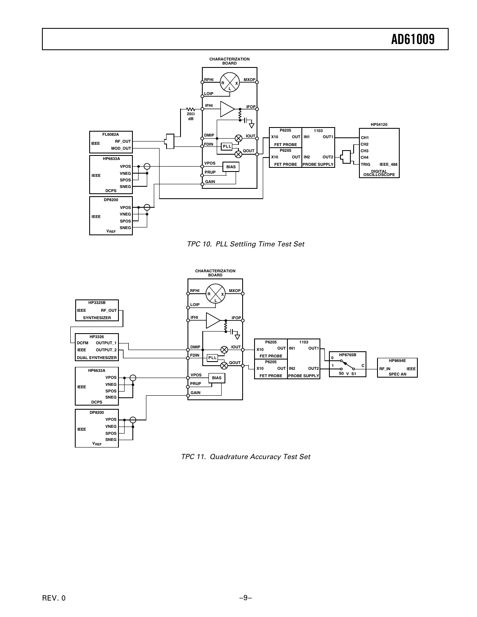

TPC 10. PLL Settling Time Test Set



TPC 11. Quadrature Accuracy Test Set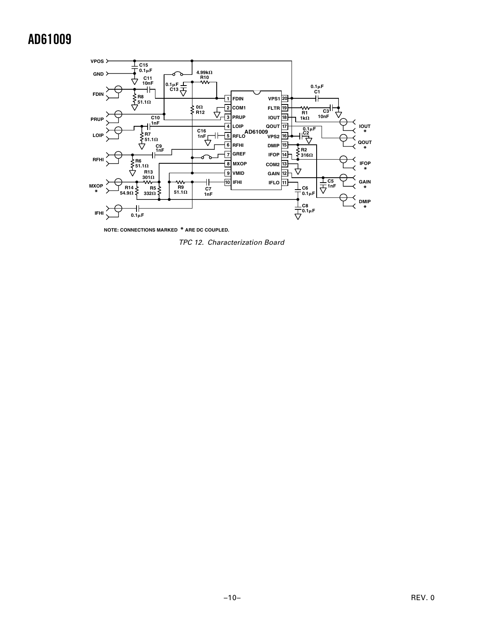

**NOTE: CONNECTIONS MARKED \* ARE DC COUPLED.**

TPC 12. Characterization Board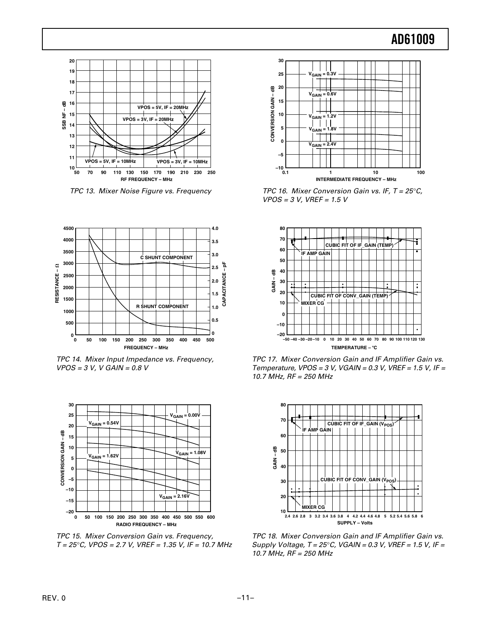

TPC 13. Mixer Noise Figure vs. Frequency



TPC 14. Mixer Input Impedance vs. Frequency,  $VPOS = 3 V, V GAM = 0.8 V$ 



TPC 15. Mixer Conversion Gain vs. Frequency,  $T = 25^{\circ}$ C, VPOS = 2.7 V, VREF = 1.35 V, IF = 10.7 MHz



TPC 16. Mixer Conversion Gain vs. IF,  $T = 25^{\circ}C$ ,  $VPOS = 3 V, VREF = 1.5 V$ 



TPC 17. Mixer Conversion Gain and IF Amplifier Gain vs. Temperature,  $VPOS = 3$  V,  $VGAIN = 0.3$  V,  $VREF = 1.5$  V, IF = 10.7 MHz, RF = 250 MHz



TPC 18. Mixer Conversion Gain and IF Amplifier Gain vs. Supply Voltage,  $T = 25^{\circ}$ C, VGAIN = 0.3 V, VREF = 1.5 V, IF = 10.7 MHz, RF = 250 MHz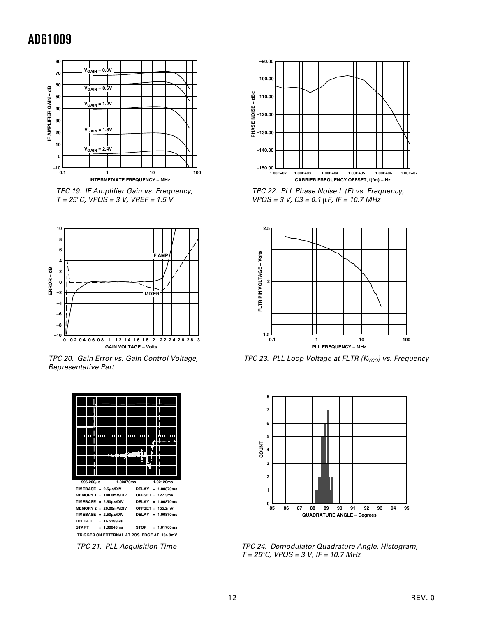

 TPC 19. IF Amplifier Gain vs. Frequency,  $T = 25^{\circ}$ C, VPOS = 3 V, VREF = 1.5 V



TPC 20. Gain Error vs. Gain Control Voltage, Representative Part



**–90.00 –100.00** -dBc **PHASE NOISE – dBc –110.00** PHASE NOISE **–120.00 –130.00 –140.00 –150.00 1.00E+04 1.00E+06 1.00E+02 1.00E+07 1.00E+03 1.00E+05 CARRIER FREQUENCY OFFSET, f(fm) – Hz**

TPC 22. PLL Phase Noise L (F) vs. Frequency,  $VPOS = 3 V, C3 = 0.1 \mu F, IF = 10.7 MHz$ 



TPC 23. PLL Loop Voltage at FLTR ( $K_{VCO}$ ) vs. Frequency



TPC 24. Demodulator Quadrature Angle, Histogram,  $T = 25^{\circ}$ C, VPOS = 3 V, IF = 10.7 MHz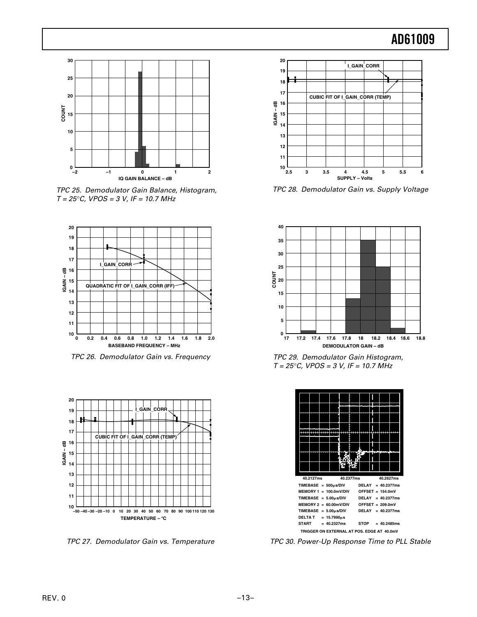

TPC 25. Demodulator Gain Balance, Histogram,  $T = 25^{\circ}$ C, VPOS = 3 V, IF = 10.7 MHz



TPC 26. Demodulator Gain vs. Frequency



TPC 27. Demodulator Gain vs. Temperature



TPC 28. Demodulator Gain vs. Supply Voltage



TPC 29. Demodulator Gain Histogram,  $T = 25^{\circ}$ C, VPOS = 3 V, IF = 10.7 MHz



TPC 30. Power-Up Response Time to PLL Stable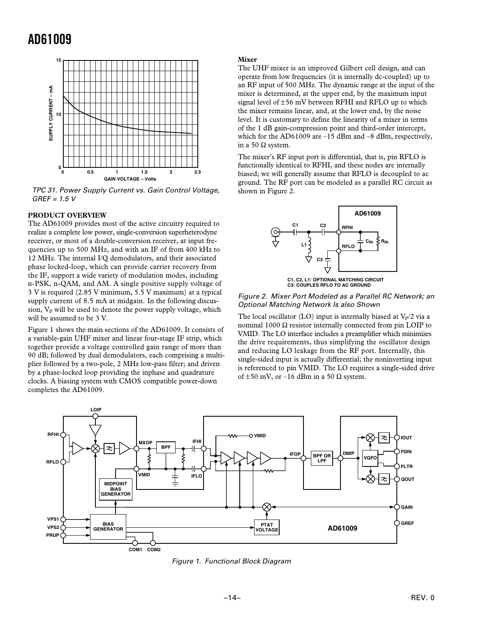

TPC 31. Power Supply Current vs. Gain Control Voltage,  $GREF = 1.5 V$ 

### **PRODUCT OVERVIEW**

The AD61009 provides most of the active circuitry required to realize a complete low power, single-conversion superheterodyne receiver, or most of a double-conversion receiver, at input frequencies up to 500 MHz, and with an IF of from 400 kHz to 12 MHz. The internal I/Q demodulators, and their associated phase locked-loop, which can provide carrier recovery from the IF, support a wide variety of modulation modes, including n-PSK, n-QAM, and AM. A single positive supply voltage of 3 V is required (2.85 V minimum, 5.5 V maximum) at a typical supply current of 8.5 mA at midgain. In the following discussion,  $V_P$  will be used to denote the power supply voltage, which will be assumed to be 3 V.

Figure 1 shows the main sections of the AD61009. It consists of a variable-gain UHF mixer and linear four-stage IF strip, which together provide a voltage controlled gain range of more than 90 dB; followed by dual demodulators, each comprising a multiplier followed by a two-pole, 2 MHz low-pass filter; and driven by a phase-locked loop providing the inphase and quadrature clocks. A biasing system with CMOS compatible power-down completes the AD61009.

#### **Mixer**

The UHF mixer is an improved Gilbert cell design, and can operate from low frequencies (it is internally dc-coupled) up to an RF input of 500 MHz. The dynamic range at the input of the mixer is determined, at the upper end, by the maximum input signal level of ±56 mV between RFHI and RFLO up to which the mixer remains linear, and, at the lower end, by the noise level. It is customary to define the linearity of a mixer in terms of the 1 dB gain-compression point and third-order intercept, which for the AD61009 are –15 dBm and –8 dBm, respectively, in a 50 Ω system.

The mixer's RF input port is differential, that is, pin RFLO is functionally identical to RFHI, and these nodes are internally biased; we will generally assume that RFLO is decoupled to ac ground. The RF port can be modeled as a parallel RC circuit as shown in Figure 2.



**C3: COUPLES RFLO TO AC GROUND**

Figure 2. Mixer Port Modeled as a Parallel RC Network; an Optional Matching Network Is also Shown

The local oscillator (LO) input is internally biased at  $V_p/2$  via a nominal 1000 Ω resistor internally connected from pin LOIP to VMID. The LO interface includes a preamplifier which minimizes the drive requirements, thus simplifying the oscillator design and reducing LO leakage from the RF port. Internally, this single-sided input is actually differential; the noninverting input is referenced to pin VMID. The LO requires a single-sided drive of  $\pm 50$  mV, or -16 dBm in a 50  $\Omega$  system.



Figure 1. Functional Block Diagram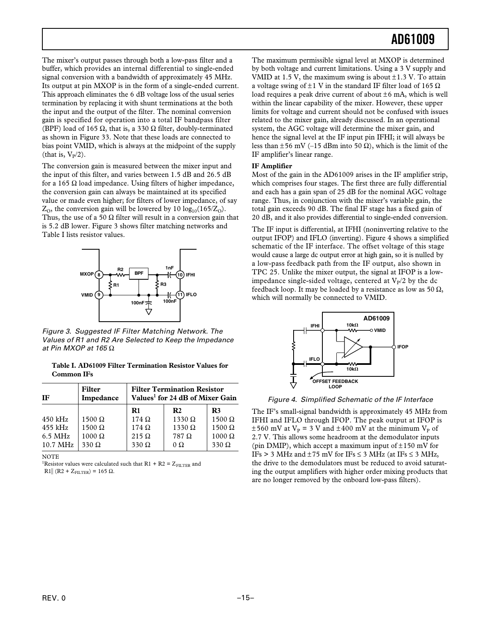The mixer's output passes through both a low-pass filter and a buffer, which provides an internal differential to single-ended signal conversion with a bandwidth of approximately 45 MHz. Its output at pin MXOP is in the form of a single-ended current. This approach eliminates the 6 dB voltage loss of the usual series termination by replacing it with shunt terminations at the both the input and the output of the filter. The nominal conversion gain is specified for operation into a total IF bandpass filter (BPF) load of 165  $\Omega$ , that is, a 330  $\Omega$  filter, doubly-terminated as shown in Figure 33. Note that these loads are connected to bias point VMID, which is always at the midpoint of the supply (that is,  $V_P/2$ ).

The conversion gain is measured between the mixer input and the input of this filter, and varies between 1.5 dB and 26.5 dB for a 165 Ω load impedance. Using filters of higher impedance, the conversion gain can always be maintained at its specified value or made even higher; for filters of lower impedance, of say  $Z<sub>0</sub>$ , the conversion gain will be lowered by 10 log<sub>10</sub>(165/Z<sub>0</sub>). Thus, the use of a 50  $\Omega$  filter will result in a conversion gain that is 5.2 dB lower. Figure 3 shows filter matching networks and Table I lists resistor values.



Figure 3. Suggested IF Filter Matching Network. The Values of R1 and R2 Are Selected to Keep the Impedance at Pin MXOP at 165  $\Omega$ 

**Table I. AD61009 Filter Termination Resistor Values for Common IFs**

| IF        | <b>Filter</b><br>Impedance | <b>Filter Termination Resistor</b><br>Values <sup>1</sup> for 24 dB of Mixer Gain |               |                |
|-----------|----------------------------|-----------------------------------------------------------------------------------|---------------|----------------|
|           |                            | $\mathbf{R}1$                                                                     | $\mathbf{R}2$ | R <sub>3</sub> |
| $450$ kHz | $1500 \Omega$              | $174 \Omega$                                                                      | $1330 \Omega$ | $1500 \Omega$  |
| $455$ kHz | $1500 \Omega$              | $174 \Omega$                                                                      | $1330 \Omega$ | $1500 \Omega$  |
| $6.5$ MHz | $1000 \Omega$              | $215 \Omega$                                                                      | $787\ \Omega$ | $1000 \Omega$  |
| 10.7 MHz  | $330 \Omega$               | $330 \Omega$                                                                      | $\Omega$      | 330 $\Omega$   |

NOTE

<sup>1</sup>Resistor values were calculated such that  $R1 + R2 = Z<sub>FILTER</sub>$  and

R1|| (R2 + Z<sub>FILTER</sub>) = 165 Ω.

The maximum permissible signal level at MXOP is determined by both voltage and current limitations. Using a 3 V supply and VMID at 1.5 V, the maximum swing is about  $\pm$ 1.3 V. To attain a voltage swing of  $±1$  V in the standard IF filter load of 165  $Ω$ load requires a peak drive current of about  $\pm 6$  mA, which is well within the linear capability of the mixer. However, these upper limits for voltage and current should not be confused with issues related to the mixer gain, already discussed. In an operational system, the AGC voltage will determine the mixer gain, and hence the signal level at the IF input pin IFHI; it will always be less than  $\pm 56$  mV (–15 dBm into 50  $\Omega$ ), which is the limit of the IF amplifier's linear range.

#### **IF Amplifier**

Most of the gain in the AD61009 arises in the IF amplifier strip, which comprises four stages. The first three are fully differential and each has a gain span of 25 dB for the nominal AGC voltage range. Thus, in conjunction with the mixer's variable gain, the total gain exceeds 90 dB. The final IF stage has a fixed gain of 20 dB, and it also provides differential to single-ended conversion.

The IF input is differential, at IFHI (noninverting relative to the output IFOP) and IFLO (inverting). Figure 4 shows a simplified schematic of the IF interface. The offset voltage of this stage would cause a large dc output error at high gain, so it is nulled by a low-pass feedback path from the IF output, also shown in TPC 25. Unlike the mixer output, the signal at IFOP is a lowimpedance single-sided voltage, centered at  $V_P/2$  by the dc feedback loop. It may be loaded by a resistance as low as 50  $\Omega$ , which will normally be connected to VMID.



Figure 4. Simplified Schematic of the IF Interface

The IF's small-signal bandwidth is approximately 45 MHz from IFHI and IFLO through IFOP. The peak output at IFOP is  $\pm 560$  mV at V<sub>P</sub> = 3 V and  $\pm 400$  mV at the minimum V<sub>P</sub> of 2.7 V. This allows some headroom at the demodulator inputs (pin DMIP), which accept a maximum input of  $\pm 150$  mV for IFs > 3 MHz and  $\pm$  75 mV for IFs  $\leq$  3 MHz (at IFs  $\leq$  3 MHz, the drive to the demodulators must be reduced to avoid saturating the output amplifiers with higher order mixing products that are no longer removed by the onboard low-pass filters).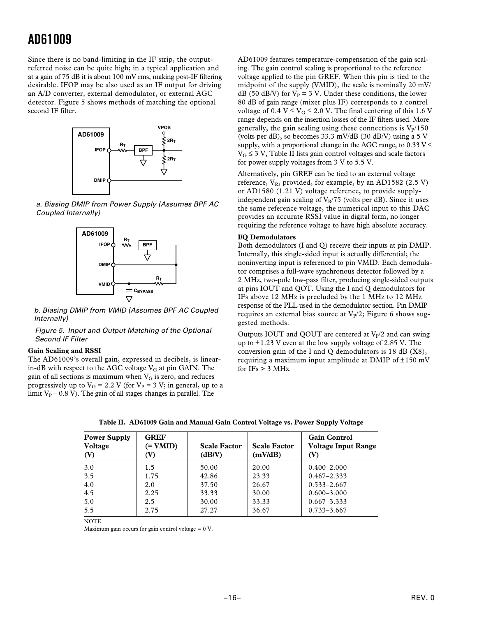Since there is no band-limiting in the IF strip, the outputreferred noise can be quite high; in a typical application and at a gain of 75 dB it is about 100 mV rms, making post-IF filtering desirable. IFOP may be also used as an IF output for driving an A/D converter, external demodulator, or external AGC detector. Figure 5 shows methods of matching the optional second IF filter.



 a. Biasing DMIP from Power Supply (Assumes BPF AC Coupled Internally)



 b. Biasing DMIP from VMID (Assumes BPF AC Coupled Internally)

#### Figure 5. Input and Output Matching of the Optional Second IF Filter

### **Gain Scaling and RSSI**

The AD61009's overall gain, expressed in decibels, is linearin-dB with respect to the AGC voltage  $V_G$  at pin GAIN. The gain of all sections is maximum when  $V_G$  is zero, and reduces progressively up to  $V_G = 2.2$  V (for  $V_P = 3$  V; in general, up to a limit  $V_P$  – 0.8 V). The gain of all stages changes in parallel. The

AD61009 features temperature-compensation of the gain scaling. The gain control scaling is proportional to the reference voltage applied to the pin GREF. When this pin is tied to the midpoint of the supply (VMID), the scale is nominally 20 mV/ dB (50 dB/V) for  $V_P$  = 3 V. Under these conditions, the lower 80 dB of gain range (mixer plus IF) corresponds to a control voltage of 0.4  $V \le V_G \le 2.0$  V. The final centering of this 1.6 V range depends on the insertion losses of the IF filters used. More generally, the gain scaling using these connections is  $V<sub>P</sub>/150$ (volts per dB), so becomes 33.3 mV/dB (30 dB/V) using a 5 V supply, with a proportional change in the AGC range, to 0.33 V  $\leq$  $V_G \leq 3$  V, Table II lists gain control voltages and scale factors for power supply voltages from 3 V to 5.5 V.

Alternatively, pin GREF can be tied to an external voltage reference,  $V_R$ , provided, for example, by an AD1582 (2.5 V) or AD1580 (1.21 V) voltage reference, to provide supplyindependent gain scaling of  $V_R/75$  (volts per dB). Since it uses the same reference voltage, the numerical input to this DAC provides an accurate RSSI value in digital form, no longer requiring the reference voltage to have high absolute accuracy.

#### **I/Q Demodulators**

Both demodulators (I and Q) receive their inputs at pin DMIP. Internally, this single-sided input is actually differential; the noninverting input is referenced to pin VMID. Each demodulator comprises a full-wave synchronous detector followed by a 2 MHz, two-pole low-pass filter, producing single-sided outputs at pins IOUT and QOT. Using the I and Q demodulators for IFs above 12 MHz is precluded by the 1 MHz to 12 MHz response of the PLL used in the demodulator section. Pin DMIP requires an external bias source at  $V_P/2$ ; Figure 6 shows suggested methods.

Outputs IOUT and QOUT are centered at  $V_P/2$  and can swing up to  $\pm$ 1.23 V even at the low supply voltage of 2.85 V. The conversion gain of the I and Q demodulators is 18 dB (X8), requiring a maximum input amplitude at DMIP of  $\pm 150$  mV for  $IFs > 3$  MHz.

| <b>Power Supply</b><br>Voltage<br>(V) | <b>GREF</b><br>$=$ VMID)<br>(V) | <b>Scale Factor</b><br>(dB/V) | <b>Scale Factor</b><br>(mV/dB) | <b>Gain Control</b><br><b>Voltage Input Range</b><br>(V) |
|---------------------------------------|---------------------------------|-------------------------------|--------------------------------|----------------------------------------------------------|
| 3.0                                   | 1.5                             | 50.00                         | 20.00                          | $0.400 - 2.000$                                          |
| 3.5                                   | 1.75                            | 42.86                         | 23.33                          | $0.467 - 2.333$                                          |
| 4.0                                   | 2.0                             | 37.50                         | 26.67                          | $0.533 - 2.667$                                          |
| 4.5                                   | 2.25                            | 33.33                         | 30.00                          | $0.600 - 3.000$                                          |
| 5.0                                   | 2.5                             | 30.00                         | 33.33                          | $0.667 - 3.333$                                          |
| 5.5                                   | 2.75                            | 27.27                         | 36.67                          | $0.733 - 3.667$                                          |

**Table II. AD61009 Gain and Manual Gain Control Voltage vs. Power Supply Voltage**

**NOTE** 

Maximum gain occurs for gain control voltage  $= 0$  V.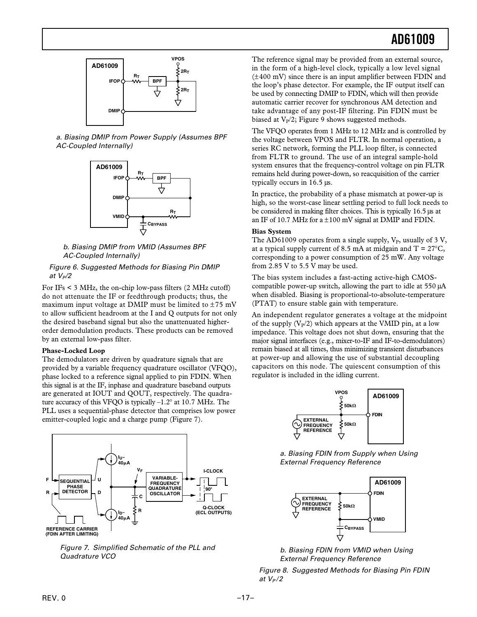

a. Biasing DMIP from Power Supply (Assumes BPF AC-Coupled Internally)



b. Biasing DMIP from VMID (Assumes BPF AC-Coupled Internally)

### Figure 6. Suggested Methods for Biasing Pin DMIP at  $V_P/2$

For IFs < 3 MHz, the on-chip low-pass filters (2 MHz cutoff) do not attenuate the IF or feedthrough products; thus, the maximum input voltage at DMIP must be limited to  $\pm 75$  mV to allow sufficient headroom at the I and Q outputs for not only the desired baseband signal but also the unattenuated higherorder demodulation products. These products can be removed by an external low-pass filter.

### **Phase-Locked Loop**

The demodulators are driven by quadrature signals that are provided by a variable frequency quadrature oscillator (VFQO), phase locked to a reference signal applied to pin FDIN. When this signal is at the IF, inphase and quadrature baseband outputs are generated at IOUT and QOUT, respectively. The quadrature accuracy of this VFQO is typically –1.2° at 10.7 MHz. The PLL uses a sequential-phase detector that comprises low power emitter-coupled logic and a charge pump (Figure 7).



 Figure 7. Simplified Schematic of the PLL and Quadrature VCO

The reference signal may be provided from an external source, in the form of a high-level clock, typically a low level signal (±400 mV) since there is an input amplifier between FDIN and the loop's phase detector. For example, the IF output itself can be used by connecting DMIP to FDIN, which will then provide automatic carrier recover for synchronous AM detection and take advantage of any post-IF filtering. Pin FDIN must be biased at  $V_P/2$ ; Figure 9 shows suggested methods.

The VFQO operates from 1 MHz to 12 MHz and is controlled by the voltage between VPOS and FLTR. In normal operation, a series RC network, forming the PLL loop filter, is connected from FLTR to ground. The use of an integral sample-hold system ensures that the frequency-control voltage on pin FLTR remains held during power-down, so reacquisition of the carrier typically occurs in 16.5 µs.

In practice, the probability of a phase mismatch at power-up is high, so the worst-case linear settling period to full lock needs to be considered in making filter choices. This is typically 16.5 µs at an IF of 10.7 MHz for  $a \pm 100$  mV signal at DMIP and FDIN.

#### **Bias System**

The AD61009 operates from a single supply,  $V_P$ , usually of 3 V, at a typical supply current of 8.5 mA at midgain and  $T = 27^{\circ}C$ , corresponding to a power consumption of 25 mW. Any voltage from 2.85 V to 5.5 V may be used.

The bias system includes a fast-acting active-high CMOScompatible power-up switch, allowing the part to idle at 550 µA when disabled. Biasing is proportional-to-absolute-temperature (PTAT) to ensure stable gain with temperature.

An independent regulator generates a voltage at the midpoint of the supply  $(V_P/2)$  which appears at the VMID pin, at a low impedance. This voltage does not shut down, ensuring that the major signal interfaces (e.g., mixer-to-IF and IF-to-demodulators) remain biased at all times, thus minimizing transient disturbances at power-up and allowing the use of substantial decoupling capacitors on this node. The quiescent consumption of this regulator is included in the idling current.



a. Biasing FDIN from Supply when Using External Frequency Reference



b. Biasing FDIN from VMID when Using External Frequency Reference

Figure 8. Suggested Methods for Biasing Pin FDIN at  $V_P/2$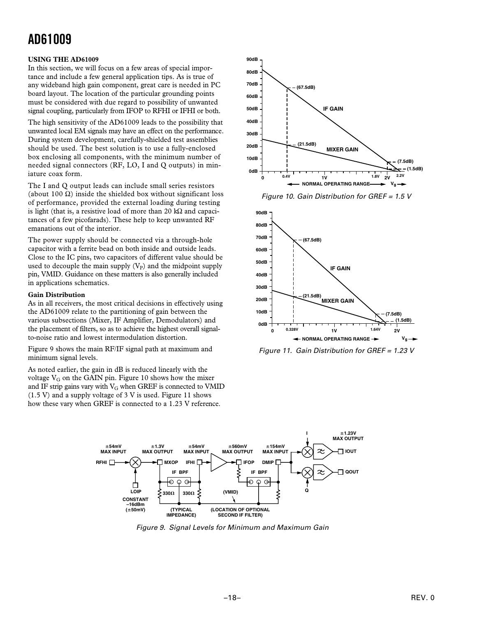### **USING THE AD61009**

In this section, we will focus on a few areas of special importance and include a few general application tips. As is true of any wideband high gain component, great care is needed in PC board layout. The location of the particular grounding points must be considered with due regard to possibility of unwanted signal coupling, particularly from IFOP to RFHI or IFHI or both.

The high sensitivity of the AD61009 leads to the possibility that unwanted local EM signals may have an effect on the performance. During system development, carefully-shielded test assemblies should be used. The best solution is to use a fully-enclosed box enclosing all components, with the minimum number of needed signal connectors (RF, LO, I and Q outputs) in miniature coax form.

The I and O output leads can include small series resistors (about 100  $\Omega$ ) inside the shielded box without significant loss of performance, provided the external loading during testing is light (that is, a resistive load of more than 20  $k\Omega$  and capacitances of a few picofarads). These help to keep unwanted RF emanations out of the interior.

The power supply should be connected via a through-hole capacitor with a ferrite bead on both inside and outside leads. Close to the IC pins, two capacitors of different value should be used to decouple the main supply  $(V_P)$  and the midpoint supply pin, VMID. Guidance on these matters is also generally included in applications schematics.

### **Gain Distribution**

As in all receivers, the most critical decisions in effectively using the AD61009 relate to the partitioning of gain between the various subsections (Mixer, IF Amplifier, Demodulators) and the placement of filters, so as to achieve the highest overall signalto-noise ratio and lowest intermodulation distortion.

Figure 9 shows the main RF/IF signal path at maximum and minimum signal levels.

As noted earlier, the gain in dB is reduced linearly with the voltage  $V_G$  on the GAIN pin. Figure 10 shows how the mixer and IF strip gains vary with  $V_G$  when GREF is connected to VMID  $(1.5 V)$  and a supply voltage of 3 V is used. Figure 11 shows how these vary when GREF is connected to a 1.23 V reference.







Figure 11. Gain Distribution for GREF = 1.23 V



Figure 9. Signal Levels for Minimum and Maximum Gain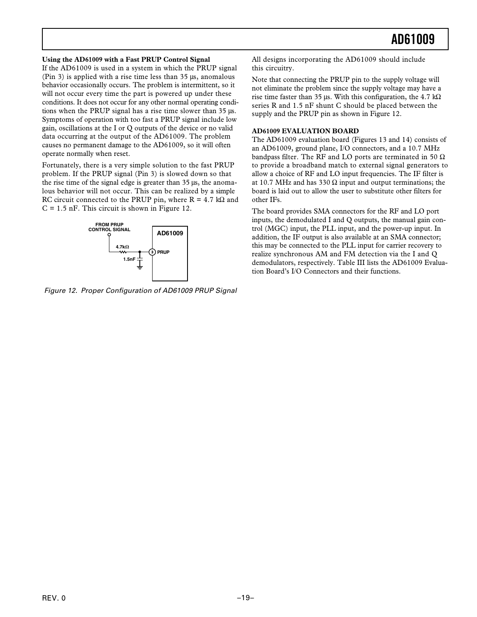### **Using the AD61009 with a Fast PRUP Control Signal**

If the AD61009 is used in a system in which the PRUP signal (Pin 3) is applied with a rise time less than 35 µs, anomalous behavior occasionally occurs. The problem is intermittent, so it will not occur every time the part is powered up under these conditions. It does not occur for any other normal operating conditions when the PRUP signal has a rise time slower than 35 µs. Symptoms of operation with too fast a PRUP signal include low gain, oscillations at the I or Q outputs of the device or no valid data occurring at the output of the AD61009. The problem causes no permanent damage to the AD61009, so it will often operate normally when reset.

Fortunately, there is a very simple solution to the fast PRUP problem. If the PRUP signal (Pin 3) is slowed down so that the rise time of the signal edge is greater than 35 µs, the anomalous behavior will not occur. This can be realized by a simple RC circuit connected to the PRUP pin, where  $R = 4.7$  kQ and  $C = 1.5$  nF. This circuit is shown in Figure 12.



Figure 12. Proper Configuration of AD61009 PRUP Signal

All designs incorporating the AD61009 should include this circuitry.

Note that connecting the PRUP pin to the supply voltage will not eliminate the problem since the supply voltage may have a rise time faster than 35 us. With this configuration, the 4.7 kΩ series R and 1.5 nF shunt C should be placed between the supply and the PRUP pin as shown in Figure 12.

### **AD61009 EVALUATION BOARD**

The AD61009 evaluation board (Figures 13 and 14) consists of an AD61009, ground plane, I/O connectors, and a 10.7 MHz bandpass filter. The RF and LO ports are terminated in 50  $\Omega$ to provide a broadband match to external signal generators to allow a choice of RF and LO input frequencies. The IF filter is at 10.7 MHz and has 330  $\Omega$  input and output terminations; the board is laid out to allow the user to substitute other filters for other IFs.

The board provides SMA connectors for the RF and LO port inputs, the demodulated I and Q outputs, the manual gain control (MGC) input, the PLL input, and the power-up input. In addition, the IF output is also available at an SMA connector; this may be connected to the PLL input for carrier recovery to realize synchronous AM and FM detection via the I and Q demodulators, respectively. Table III lists the AD61009 Evaluation Board's I/O Connectors and their functions.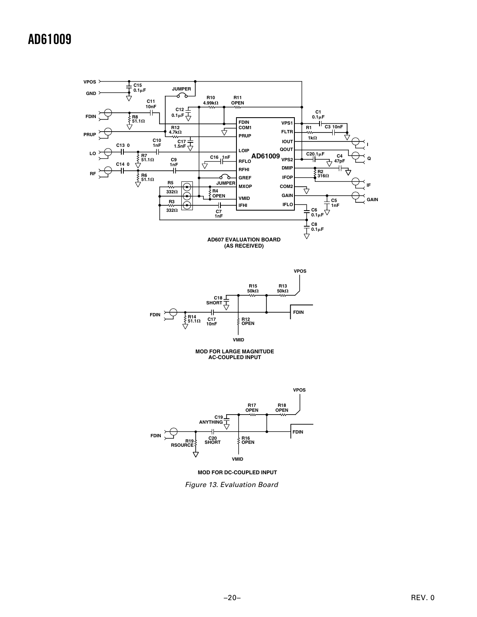







Figure 13. Evaluation Board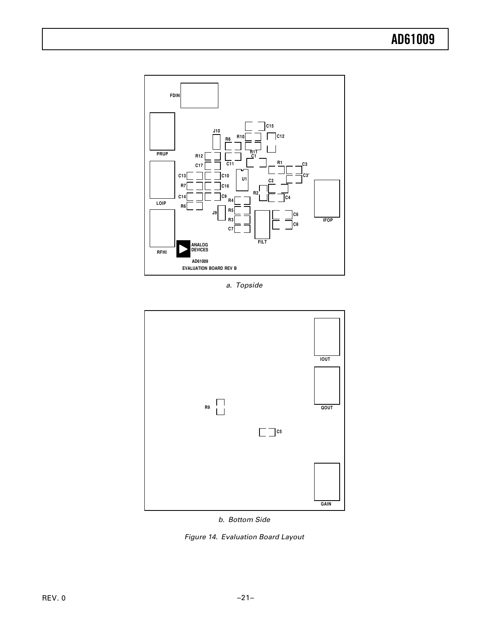

a. Topside



b. Bottom Side

Figure 14. Evaluation Board Layout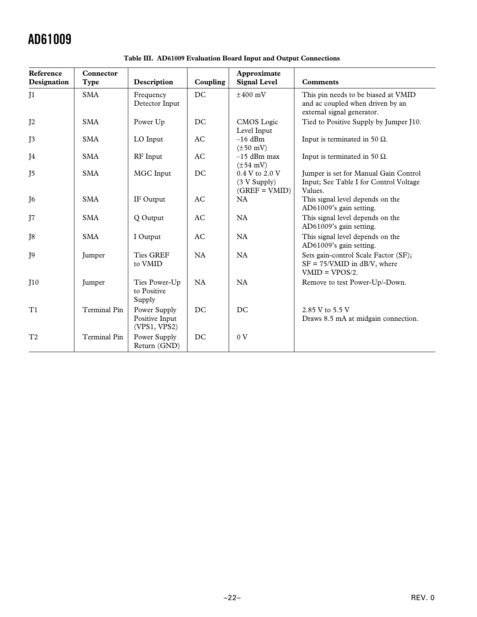| Reference<br>Designation | Connector<br><b>Type</b> | Description                                    | Coupling  | Approximate<br><b>Signal Level</b>                    | <b>Comments</b>                                                                                       |
|--------------------------|--------------------------|------------------------------------------------|-----------|-------------------------------------------------------|-------------------------------------------------------------------------------------------------------|
| J <sub>1</sub>           | <b>SMA</b>               | Frequency<br>Detector Input                    | DC        | $\pm 400$ mV                                          | This pin needs to be biased at VMID<br>and ac coupled when driven by an<br>external signal generator. |
| J <sub>2</sub>           | <b>SMA</b>               | Power Up                                       | DC        | CMOS Logic<br>Level Input                             | Tied to Positive Supply by Jumper J10.                                                                |
| J3                       | <b>SMA</b>               | LO Input                                       | AC        | $-16$ dBm<br>$(\pm 50 \text{ mV})$                    | Input is terminated in 50 $\Omega$ .                                                                  |
| J4                       | <b>SMA</b>               | RF Input                                       | AC        | $-15$ dBm max<br>$(\pm 54 \text{ mV})$                | Input is terminated in 50 $\Omega$ .                                                                  |
| J <sub>5</sub>           | <b>SMA</b>               | MGC Input                                      | DC        | $0.4 V$ to $2.0 V$<br>(3 V Supply)<br>$(GREF = VMID)$ | Jumper is set for Manual Gain Control<br>Input; See Table I for Control Voltage<br>Values.            |
| J <sub>6</sub>           | <b>SMA</b>               | IF Output                                      | AC        | NA                                                    | This signal level depends on the<br>AD61009's gain setting.                                           |
| J7                       | <b>SMA</b>               | Q Output                                       | AC        | NA                                                    | This signal level depends on the<br>AD61009's gain setting.                                           |
| T <sub>8</sub>           | <b>SMA</b>               | I Output                                       | AC        | NA                                                    | This signal level depends on the<br>AD61009's gain setting.                                           |
| J9                       | Jumper                   | <b>Ties GREF</b><br>to VMID                    | <b>NA</b> | NA                                                    | Sets gain-control Scale Factor (SF);<br>$SF = 75/VMID$ in dB/V, where<br>$VMID = VPOS/2.$             |
| I10                      | Jumper                   | Ties Power-Up<br>to Positive<br>Supply         | <b>NA</b> | NA                                                    | Remove to test Power-Up/-Down.                                                                        |
| T1                       | Terminal Pin             | Power Supply<br>Positive Input<br>(VPS1, VPS2) | DC        | DC                                                    | 2.85 V to 5.5 V<br>Draws 8.5 mA at midgain connection.                                                |
| T <sub>2</sub>           | Terminal Pin             | Power Supply<br>Return (GND)                   | DC        | 0 <sub>V</sub>                                        |                                                                                                       |

**Table III. AD61009 Evaluation Board Input and Output Connections**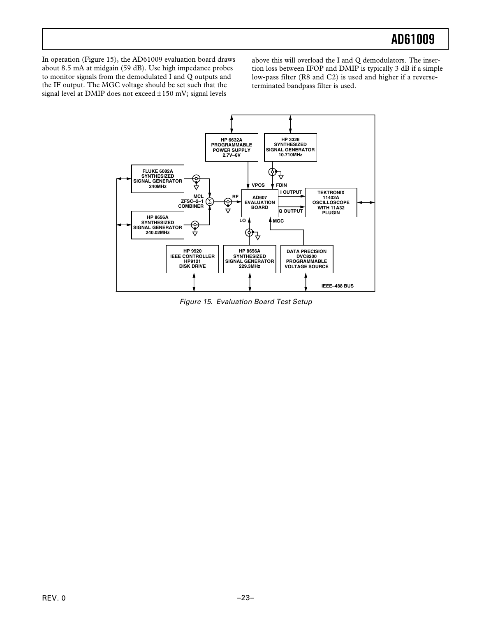In operation (Figure 15), the AD61009 evaluation board draws about 8.5 mA at midgain (59 dB). Use high impedance probes to monitor signals from the demodulated I and Q outputs and the IF output. The MGC voltage should be set such that the signal level at DMIP does not exceed ±150 mV; signal levels

above this will overload the I and Q demodulators. The insertion loss between IFOP and DMIP is typically 3 dB if a simple low-pass filter (R8 and C2) is used and higher if a reverseterminated bandpass filter is used.



Figure 15. Evaluation Board Test Setup